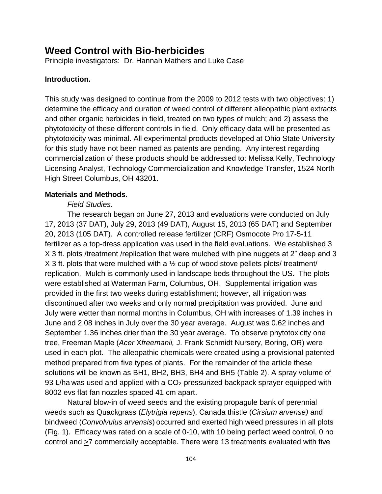# **Weed Control with Bio-herbicides**

Principle investigators: Dr. Hannah Mathers and Luke Case

## **Introduction.**

This study was designed to continue from the 2009 to 2012 tests with two objectives: 1) determine the efficacy and duration of weed control of different alleopathic plant extracts and other organic herbicides in field, treated on two types of mulch; and 2) assess the phytotoxicity of these different controls in field. Only efficacy data will be presented as phytotoxicity was minimal. All experimental products developed at Ohio State University for this study have not been named as patents are pending. Any interest regarding commercialization of these products should be addressed to: Melissa Kelly, Technology Licensing Analyst, Technology Commercialization and Knowledge Transfer, 1524 North High Street Columbus, OH 43201.

#### **Materials and Methods.**

## *Field Studies.*

The research began on June 27, 2013 and evaluations were conducted on July 17, 2013 (37 DAT), July 29, 2013 (49 DAT), August 15, 2013 (65 DAT) and September 20, 2013 (105 DAT). A controlled release fertilizer (CRF) Osmocote Pro 17-5-11 fertilizer as a top-dress application was used in the field evaluations. We established 3 X 3 ft. plots /treatment /replication that were mulched with pine nuggets at 2" deep and 3 X 3 ft. plots that were mulched with a ½ cup of wood stove pellets plots/ treatment/ replication. Mulch is commonly used in landscape beds throughout the US. The plots were established at Waterman Farm, Columbus, OH. Supplemental irrigation was provided in the first two weeks during establishment; however, all irrigation was discontinued after two weeks and only normal precipitation was provided. June and July were wetter than normal months in Columbus, OH with increases of 1.39 inches in June and 2.08 inches in July over the 30 year average. August was 0.62 inches and September 1.36 inches drier than the 30 year average. To observe phytotoxicity one tree, Freeman Maple (*Acer* X*freemanii,* J. Frank Schmidt Nursery, Boring, OR) were used in each plot. The alleopathic chemicals were created using a provisional patented method prepared from five types of plants. For the remainder of the article these solutions will be known as BH1, BH2, BH3, BH4 and BH5 (Table 2). A spray volume of 93 L/ha was used and applied with a CO<sub>2</sub>-pressurized backpack sprayer equipped with 8002 evs flat fan nozzles spaced 41 cm apart.

Natural blow-in of weed seeds and the existing propagule bank of perennial weeds such as Quackgrass (*Elytrigia repens*), Canada thistle (*Cirsium arvense)* and bindweed (*Convolvulus arvensis*) occurred and exerted high weed pressures in all plots (Fig. 1). Efficacy was rated on a scale of 0-10, with 10 being perfect weed control, 0 no control and  $\geq$ 7 commercially acceptable. There were 13 treatments evaluated with five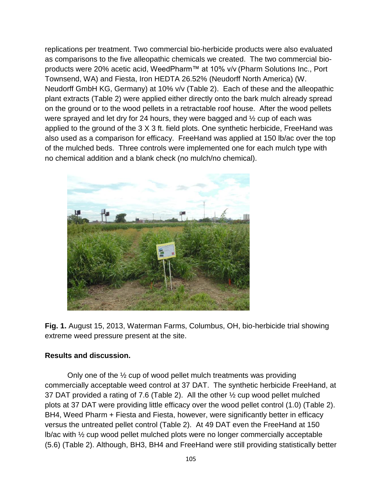replications per treatment. Two commercial bio-herbicide products were also evaluated as comparisons to the five alleopathic chemicals we created. The two commercial bioproducts were 20% acetic acid, WeedPharm™ at 10% v/v (Pharm Solutions Inc., Port Townsend, WA) and Fiesta, Iron HEDTA 26.52% (Neudorff North America) (W. Neudorff GmbH KG, Germany) at 10% v/v (Table 2). Each of these and the alleopathic plant extracts (Table 2) were applied either directly onto the bark mulch already spread on the ground or to the wood pellets in a retractable roof house. After the wood pellets were sprayed and let dry for 24 hours, they were bagged and ½ cup of each was applied to the ground of the 3 X 3 ft. field plots. One synthetic herbicide, FreeHand was also used as a comparison for efficacy. FreeHand was applied at 150 lb/ac over the top of the mulched beds. Three controls were implemented one for each mulch type with no chemical addition and a blank check (no mulch/no chemical).



**Fig. 1.** August 15, 2013, Waterman Farms, Columbus, OH, bio-herbicide trial showing extreme weed pressure present at the site.

#### **Results and discussion.**

Only one of the ½ cup of wood pellet mulch treatments was providing commercially acceptable weed control at 37 DAT. The synthetic herbicide FreeHand, at 37 DAT provided a rating of 7.6 (Table 2). All the other ½ cup wood pellet mulched plots at 37 DAT were providing little efficacy over the wood pellet control (1.0) (Table 2). BH4, Weed Pharm + Fiesta and Fiesta, however, were significantly better in efficacy versus the untreated pellet control (Table 2). At 49 DAT even the FreeHand at 150 lb/ac with ½ cup wood pellet mulched plots were no longer commercially acceptable (5.6) (Table 2). Although, BH3, BH4 and FreeHand were still providing statistically better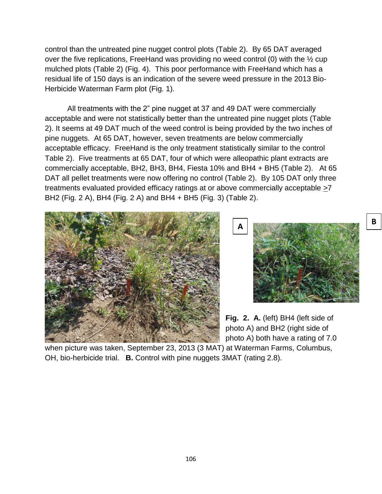control than the untreated pine nugget control plots (Table 2). By 65 DAT averaged over the five replications, FreeHand was providing no weed control (0) with the ½ cup mulched plots (Table 2) (Fig. 4). This poor performance with FreeHand which has a residual life of 150 days is an indication of the severe weed pressure in the 2013 Bio-Herbicide Waterman Farm plot (Fig. 1).

All treatments with the 2" pine nugget at 37 and 49 DAT were commercially acceptable and were not statistically better than the untreated pine nugget plots (Table 2). It seems at 49 DAT much of the weed control is being provided by the two inches of pine nuggets. At 65 DAT, however, seven treatments are below commercially acceptable efficacy. FreeHand is the only treatment statistically similar to the control Table 2). Five treatments at 65 DAT, four of which were alleopathic plant extracts are commercially acceptable, BH2, BH3, BH4, Fiesta 10% and BH4 + BH5 (Table 2). At 65 DAT all pellet treatments were now offering no control (Table 2). By 105 DAT only three treatments evaluated provided efficacy ratings at or above commercially acceptable  $\geq 7$ BH2 (Fig. 2 A), BH4 (Fig. 2 A) and BH4 + BH5 (Fig. 3) (Table 2).





**Fig. 2. A.** (left) BH4 (left side of photo A) and BH2 (right side of photo A) both have a rating of 7.0

when picture was taken, September 23, 2013 (3 MAT) at Waterman Farms, Columbus, OH, bio-herbicide trial. **B.** Control with pine nuggets 3MAT (rating 2.8).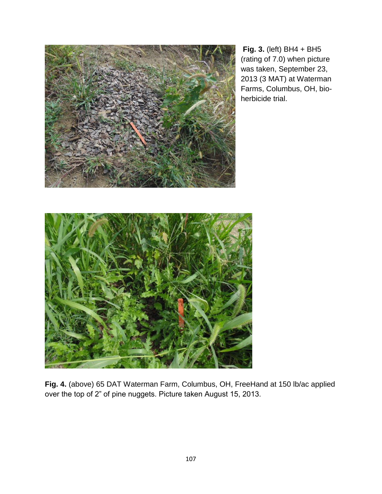

**Fig. 3.** (left) BH4 + BH5 (rating of 7.0) when picture was taken, September 23, 2013 (3 MAT) at Waterman Farms, Columbus, OH, bioherbicide trial.



**Fig. 4.** (above) 65 DAT Waterman Farm, Columbus, OH, FreeHand at 150 lb/ac applied over the top of 2" of pine nuggets. Picture taken August 15, 2013.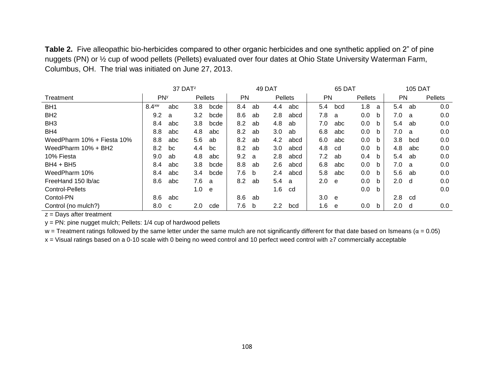**Table 2.** Five alleopathic bio-herbicides compared to other organic herbicides and one synthetic applied on 2" of pine nuggets (PN) or  $\frac{1}{2}$  cup of wood pellets (Pellets) evaluated over four dates at Ohio State University Waterman Farm, Columbus, OH. The trial was initiated on June 27, 2013.

|                            | 37 DAT <sup>z</sup>   |     |               |      | 49 DAT    |    |                |      | 65 DAT           |     |         |   | <b>105 DAT</b> |     |         |
|----------------------------|-----------------------|-----|---------------|------|-----------|----|----------------|------|------------------|-----|---------|---|----------------|-----|---------|
| Treatment                  | <b>PN<sub>y</sub></b> |     | Pellets       |      | <b>PN</b> |    | <b>Pellets</b> |      | <b>PN</b>        |     | Pellets |   | PN             |     | Pellets |
| BH <sub>1</sub>            | $8.4$ <sup>xw</sup>   | abc | 3.8           | bcde | 8.4       | ab | 4.4            | abc  | 5.4              | bcd | 1.8     | a | 5.4            | ab  | 0.0     |
| BH <sub>2</sub>            | 9.2                   | a   | 3.2           | bcde | 8.6       | ab | 2.8            | abcd | 7.8              | a   | 0.0     | b | 7.0            | a   | 0.0     |
| BH <sub>3</sub>            | 8.4                   | abc | 3.8           | bcde | 8.2       | ab | 4.8            | ab   | 7.0              | abc | 0.0     | b | 5.4            | ab  | 0.0     |
| BH4                        | 8.8                   | abc | 4.8           | abc  | 8.2       | ab | 3.0            | ab   | 6.8              | abc | 0.0     | b | 7.0            | a   | 0.0     |
| WeedPharm 10% + Fiesta 10% | 8.8                   | abc | 5.6           | ab   | 8.2       | ab | 4.2            | abcd | 6.0              | abc | 0.0     | b | 3.8            | bcd | 0.0     |
| WeedPharm 10% + BH2        | 8.2                   | bc  | 4.4           | bc   | 8.2       | ab | 3.0            | abcd | 4.8              | cd  | 0.0     | b | 4.8            | abc | 0.0     |
| 10% Fiesta                 | 9.0                   | ab  | 4.8           | abc  | 9.2       | a  | 2.8            | abcd | 7.2              | ab  | 0.4     | b | 5.4            | ab  | 0.0     |
| $BH4 + BH5$                | 8.4                   | abc | 3.8           | bcde | 8.8       | ab | 2.6            | abcd | 6.8              | abc | 0.0     | b | 7.0            | a   | 0.0     |
| WeedPharm 10%              | 8.4                   | abc | $3.4^{\circ}$ | bcde | 7.6       | b  | 2.4            | abcd | 5.8              | abc | 0.0     | b | 5.6            | ab  | 0.0     |
| FreeHand 150 lb/ac         | 8.6                   | abc | 7.6           | - a  | 8.2       | ab | 5.4            | a    | 2.0              | e   | 0.0     | b | 2.0            | d   | 0.0     |
| Control-Pellets            |                       |     | 1.0           | e    |           |    | 1.6            | cd   |                  |     | 0.0     | b |                |     | 0.0     |
| Contol-PN                  | 8.6                   | abc |               |      | 8.6       | ab |                |      | 3.0 <sub>1</sub> | e   |         |   | 2.8            | cd  |         |
| Control (no mulch?)        | 8.0                   | C   | 2.0           | cde  | 7.6       | b  | 2.2            | bcd  | 1.6              | e   | 0.0     | b | 2.0            | d   | 0.0     |

z = Days after treatment

y = PN: pine nugget mulch; Pellets: 1/4 cup of hardwood pellets

w = Treatment ratings followed by the same letter under the same mulch are not significantly different for that date based on Ismeans ( $\alpha$  = 0.05)

x = Visual ratings based on a 0-10 scale with 0 being no weed control and 10 perfect weed control with ≥7 commercially acceptable